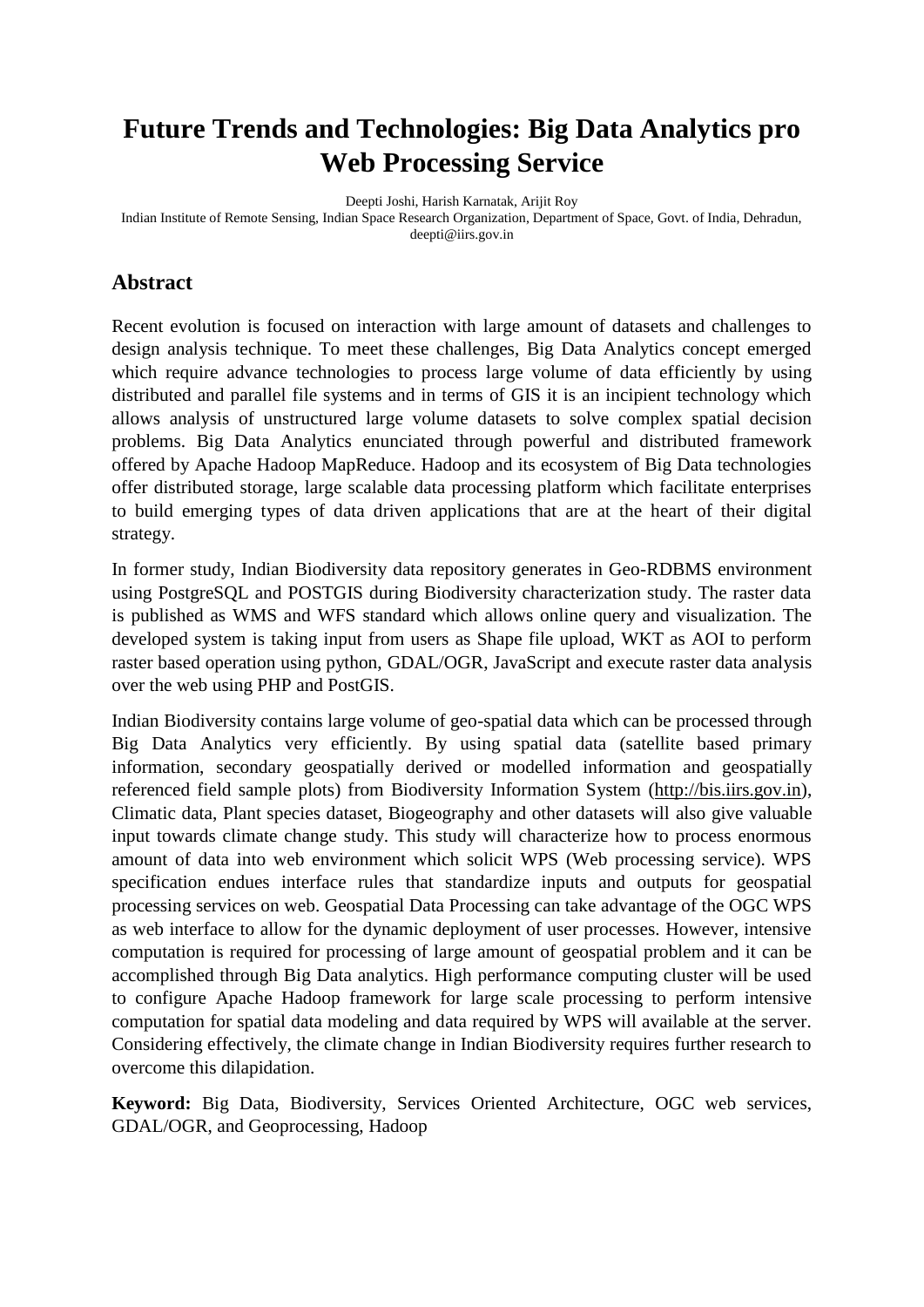# **Future Trends and Technologies: Big Data Analytics pro Web Processing Service**

Deepti Joshi, Harish Karnatak, Arijit Roy

Indian Institute of Remote Sensing, Indian Space Research Organization, Department of Space, Govt. of India, Dehradun, deepti@iirs.gov.in

#### **Abstract**

Recent evolution is focused on interaction with large amount of datasets and challenges to design analysis technique. To meet these challenges, Big Data Analytics concept emerged which require advance technologies to process large volume of data efficiently by using distributed and parallel file systems and in terms of GIS it is an incipient technology which allows analysis of unstructured large volume datasets to solve complex spatial decision problems. Big Data Analytics enunciated through powerful and distributed framework offered by Apache Hadoop MapReduce. Hadoop and its ecosystem of Big Data technologies offer distributed storage, large scalable data processing platform which facilitate enterprises to build emerging types of data driven applications that are at the heart of their digital strategy.

In former study, Indian Biodiversity data repository generates in Geo-RDBMS environment using PostgreSQL and POSTGIS during Biodiversity characterization study. The raster data is published as WMS and WFS standard which allows online query and visualization. The developed system is taking input from users as Shape file upload, WKT as AOI to perform raster based operation using python, GDAL/OGR, JavaScript and execute raster data analysis over the web using PHP and PostGIS.

Indian Biodiversity contains large volume of geo-spatial data which can be processed through Big Data Analytics very efficiently. By using spatial data (satellite based primary information, secondary geospatially derived or modelled information and geospatially referenced field sample plots) from Biodiversity Information System [\(http://bis.iirs.gov.in\)](http://bis.iirs.gov.in/), Climatic data, Plant species dataset, Biogeography and other datasets will also give valuable input towards climate change study. This study will characterize how to process enormous amount of data into web environment which solicit WPS (Web processing service). WPS specification endues interface rules that standardize inputs and outputs for geospatial processing services on web. Geospatial Data Processing can take advantage of the OGC WPS as web interface to allow for the dynamic deployment of user processes. However, intensive computation is required for processing of large amount of geospatial problem and it can be accomplished through Big Data analytics. High performance computing cluster will be used to configure Apache Hadoop framework for large scale processing to perform intensive computation for spatial data modeling and data required by WPS will available at the server. Considering effectively, the climate change in Indian Biodiversity requires further research to overcome this dilapidation.

**Keyword:** Big Data, Biodiversity, Services Oriented Architecture, OGC web services, GDAL/OGR, and Geoprocessing, Hadoop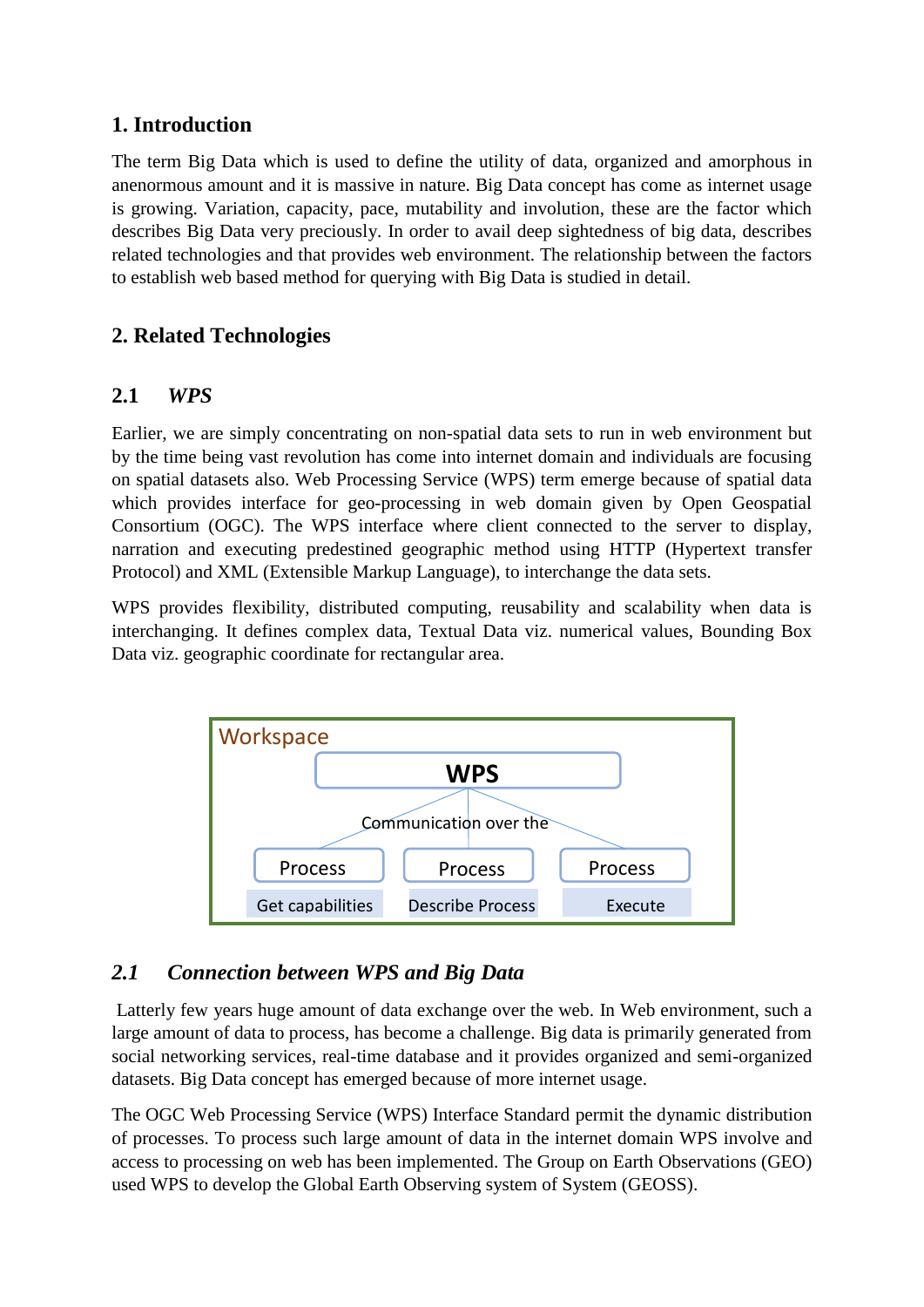## **1. Introduction**

The term Big Data which is used to define the utility of data, organized and amorphous in anenormous amount and it is massive in nature. Big Data concept has come as internet usage is growing. Variation, capacity, pace, mutability and involution, these are the factor which describes Big Data very preciously. In order to avail deep sightedness of big data, describes related technologies and that provides web environment. The relationship between the factors to establish web based method for querying with Big Data is studied in detail.

## **2. Related Technologies**

### **2.1** *WPS*

Earlier, we are simply concentrating on non-spatial data sets to run in web environment but by the time being vast revolution has come into internet domain and individuals are focusing on spatial datasets also. Web Processing Service (WPS) term emerge because of spatial data which provides interface for geo-processing in web domain given by Open Geospatial Consortium (OGC). The WPS interface where client connected to the server to display, narration and executing predestined geographic method using HTTP (Hypertext transfer Protocol) and XML (Extensible Markup Language), to interchange the data sets.

WPS provides flexibility, distributed computing, reusability and scalability when data is interchanging. It defines complex data, Textual Data viz. numerical values, Bounding Box Data viz. geographic coordinate for rectangular area.



## *2.1 Connection between WPS and Big Data*

Latterly few years huge amount of data exchange over the web. In Web environment, such a large amount of data to process, has become a challenge. Big data is primarily generated from social networking services, real-time database and it provides organized and semi-organized datasets. Big Data concept has emerged because of more internet usage.

The OGC Web Processing Service (WPS) Interface Standard permit the dynamic distribution of processes. To process such large amount of data in the internet domain WPS involve and access to processing on web has been implemented. The Group on Earth Observations (GEO) used WPS to develop the Global Earth Observing system of System (GEOSS).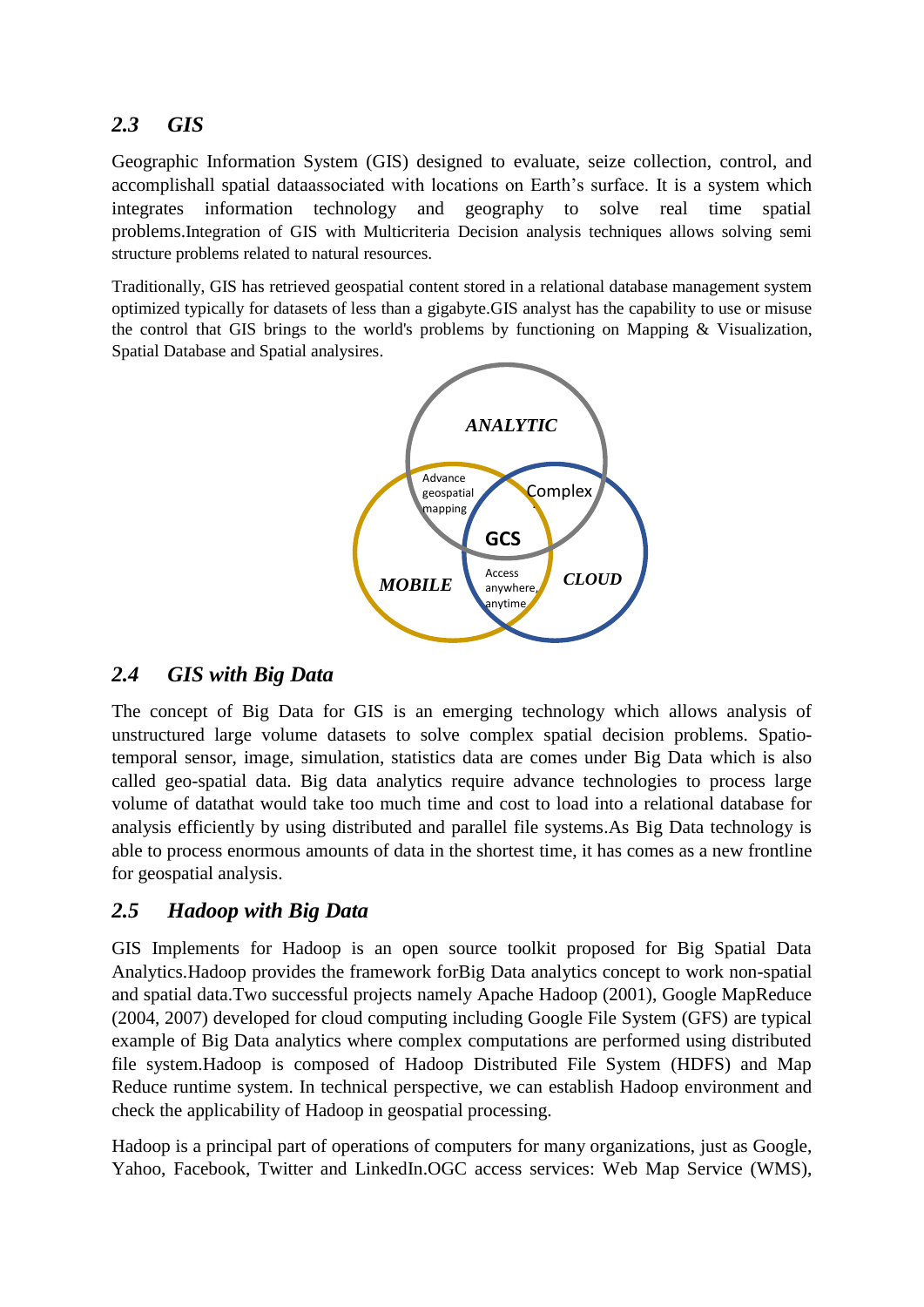## *2.3 GIS*

Geographic Information System (GIS) designed to evaluate, seize collection, control, and accomplishall spatial dataassociated with locations on Earth's surface. It is a system which integrates information technology and geography to solve real time spatial problems.Integration of GIS with Multicriteria Decision analysis techniques allows solving semi structure problems related to natural resources.

Traditionally, GIS has retrieved geospatial content stored in a relational database management system optimized typically for datasets of less than a gigabyte.GIS analyst has the capability to use or misuse the control that GIS brings to the world's problems by functioning on Mapping & Visualization, Spatial Database and Spatial analysires.



### *2.4 GIS with Big Data*

The concept of Big Data for GIS is an emerging technology which allows analysis of unstructured large volume datasets to solve complex spatial decision problems. Spatiotemporal sensor, image, simulation, statistics data are comes under Big Data which is also called geo-spatial data. Big data analytics require advance technologies to process large volume of datathat would take too much time and cost to load into a relational database for analysis efficiently by using distributed and parallel file systems.As Big Data technology is able to process enormous amounts of data in the shortest time, it has comes as a new frontline for geospatial analysis.

### *2.5 Hadoop with Big Data*

GIS Implements for Hadoop is an open source toolkit proposed for Big Spatial Data Analytics.Hadoop provides the framework forBig Data analytics concept to work non-spatial and spatial data.Two successful projects namely Apache Hadoop (2001), Google MapReduce (2004, 2007) developed for cloud computing including Google File System (GFS) are typical example of Big Data analytics where complex computations are performed using distributed file system.Hadoop is composed of Hadoop Distributed File System (HDFS) and Map Reduce runtime system. In technical perspective, we can establish Hadoop environment and check the applicability of Hadoop in geospatial processing.

Hadoop is a principal part of operations of computers for many organizations, just as Google, Yahoo, Facebook, Twitter and LinkedIn.OGC access services: Web Map Service (WMS),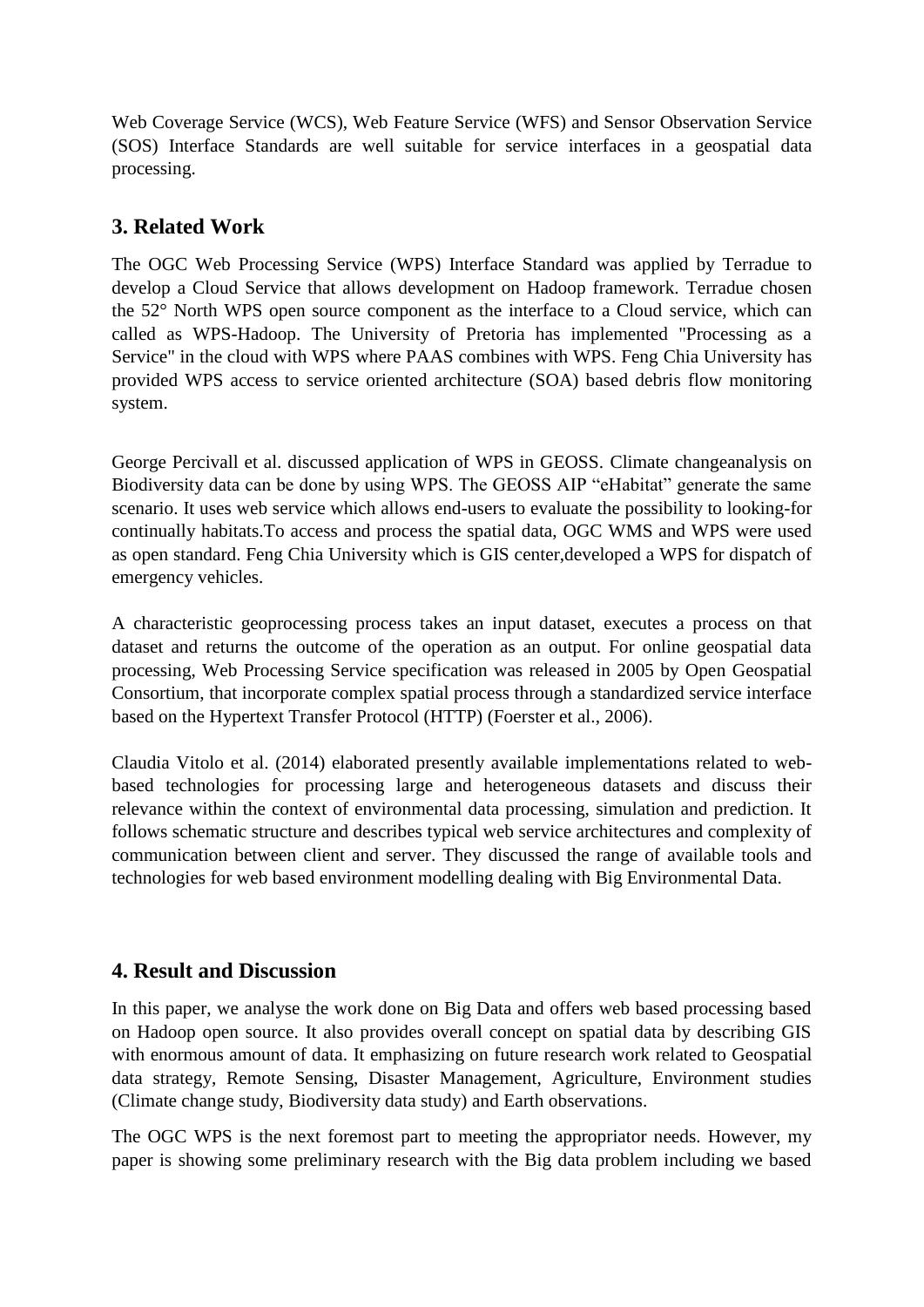Web Coverage Service (WCS), Web Feature Service (WFS) and Sensor Observation Service (SOS) Interface Standards are well suitable for service interfaces in a geospatial data processing.

## **3. Related Work**

The OGC Web Processing Service (WPS) Interface Standard was applied by Terradue to develop a Cloud Service that allows development on Hadoop framework. Terradue chosen the 52° North WPS open source component as the interface to a Cloud service, which can called as WPS-Hadoop. The University of Pretoria has implemented "Processing as a Service" in the cloud with WPS where PAAS combines with WPS. Feng Chia University has provided WPS access to service oriented architecture (SOA) based debris flow monitoring system.

George Percivall et al. discussed application of WPS in GEOSS. Climate changeanalysis on Biodiversity data can be done by using WPS. The GEOSS AIP "eHabitat" generate the same scenario. It uses web service which allows end-users to evaluate the possibility to looking-for continually habitats.To access and process the spatial data, OGC WMS and WPS were used as open standard. Feng Chia University which is GIS center,developed a WPS for dispatch of emergency vehicles.

A characteristic geoprocessing process takes an input dataset, executes a process on that dataset and returns the outcome of the operation as an output. For online geospatial data processing, Web Processing Service specification was released in 2005 by Open Geospatial Consortium, that incorporate complex spatial process through a standardized service interface based on the Hypertext Transfer Protocol (HTTP) (Foerster et al., 2006).

Claudia Vitolo et al. (2014) elaborated presently available implementations related to webbased technologies for processing large and heterogeneous datasets and discuss their relevance within the context of environmental data processing, simulation and prediction. It follows schematic structure and describes typical web service architectures and complexity of communication between client and server. They discussed the range of available tools and technologies for web based environment modelling dealing with Big Environmental Data.

## **4. Result and Discussion**

In this paper, we analyse the work done on Big Data and offers web based processing based on Hadoop open source. It also provides overall concept on spatial data by describing GIS with enormous amount of data. It emphasizing on future research work related to Geospatial data strategy, Remote Sensing, Disaster Management, Agriculture, Environment studies (Climate change study, Biodiversity data study) and Earth observations.

The OGC WPS is the next foremost part to meeting the appropriator needs. However, my paper is showing some preliminary research with the Big data problem including we based